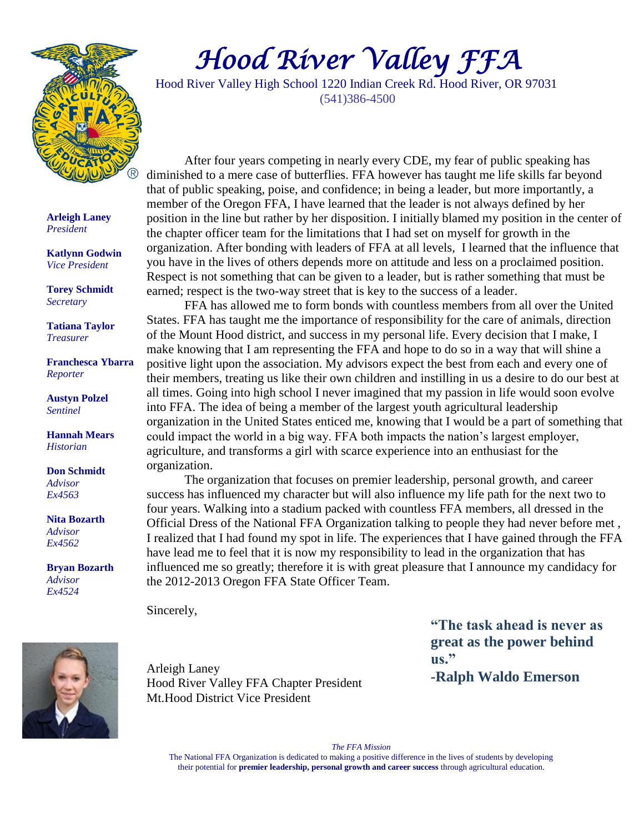

# *Hood River Valley FFA*

Hood River Valley High School 1220 Indian Creek Rd. Hood River, OR 97031 (541)386-4500

**Arleigh Laney** *President*

**Katlynn Godwin** *Vice President*

**Torey Schmidt** *Secretary*

**Tatiana Taylor** *Treasurer*

**Franchesca Ybarra** *Reporter*

**Austyn Polzel** *Sentinel*

**Hannah Mears** *Historian*

**Don Schmidt** *Advisor Ex4563*

**Nita Bozarth** *Advisor Ex4562*

**Bryan Bozarth** *Advisor Ex4524*



After four years competing in nearly every CDE, my fear of public speaking has diminished to a mere case of butterflies. FFA however has taught me life skills far beyond that of public speaking, poise, and confidence; in being a leader, but more importantly, a member of the Oregon FFA, I have learned that the leader is not always defined by her position in the line but rather by her disposition. I initially blamed my position in the center of the chapter officer team for the limitations that I had set on myself for growth in the organization. After bonding with leaders of FFA at all levels, I learned that the influence that you have in the lives of others depends more on attitude and less on a proclaimed position. Respect is not something that can be given to a leader, but is rather something that must be earned; respect is the two-way street that is key to the success of a leader.

FFA has allowed me to form bonds with countless members from all over the United States. FFA has taught me the importance of responsibility for the care of animals, direction of the Mount Hood district, and success in my personal life. Every decision that I make, I make knowing that I am representing the FFA and hope to do so in a way that will shine a positive light upon the association. My advisors expect the best from each and every one of their members, treating us like their own children and instilling in us a desire to do our best at all times. Going into high school I never imagined that my passion in life would soon evolve into FFA. The idea of being a member of the largest youth agricultural leadership organization in the United States enticed me, knowing that I would be a part of something that could impact the world in a big way. FFA both impacts the nation's largest employer, agriculture, and transforms a girl with scarce experience into an enthusiast for the organization.

The organization that focuses on premier leadership, personal growth, and career success has influenced my character but will also influence my life path for the next two to four years. Walking into a stadium packed with countless FFA members, all dressed in the Official Dress of the National FFA Organization talking to people they had never before met , I realized that I had found my spot in life. The experiences that I have gained through the FFA have lead me to feel that it is now my responsibility to lead in the organization that has influenced me so greatly; therefore it is with great pleasure that I announce my candidacy for the 2012-2013 Oregon FFA State Officer Team.

Sincerely,

Arleigh Laney Hood River Valley FFA Chapter President Mt.Hood District Vice President

**"The task ahead is never as great as the power behind us." -Ralph Waldo Emerson**

*The FFA Mission*

The National FFA Organization is dedicated to making a positive difference in the lives of students by developing their potential for **premier leadership, personal growth and career success** through agricultural education.